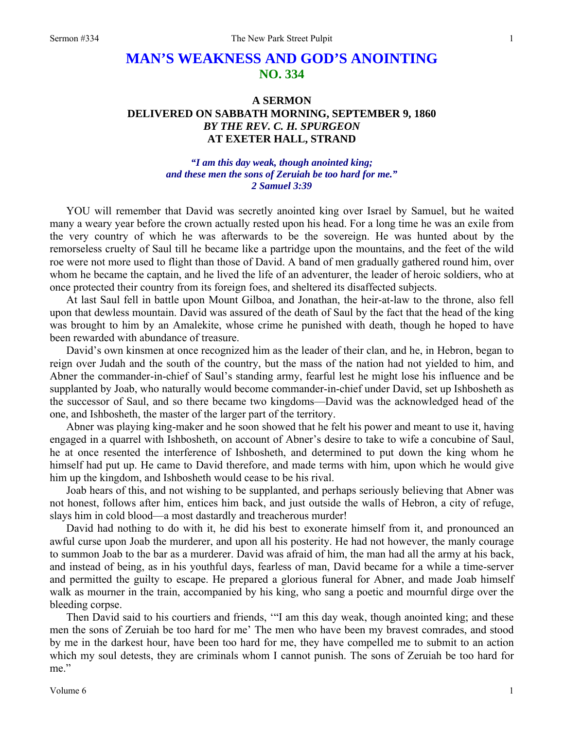## **MAN'S WEAKNESS AND GOD'S ANOINTING NO. 334**

## **A SERMON DELIVERED ON SABBATH MORNING, SEPTEMBER 9, 1860**  *BY THE REV. C. H. SPURGEON*  **AT EXETER HALL, STRAND**

## *"I am this day weak, though anointed king; and these men the sons of Zeruiah be too hard for me." 2 Samuel 3:39*

YOU will remember that David was secretly anointed king over Israel by Samuel, but he waited many a weary year before the crown actually rested upon his head. For a long time he was an exile from the very country of which he was afterwards to be the sovereign. He was hunted about by the remorseless cruelty of Saul till he became like a partridge upon the mountains, and the feet of the wild roe were not more used to flight than those of David. A band of men gradually gathered round him, over whom he became the captain, and he lived the life of an adventurer, the leader of heroic soldiers, who at once protected their country from its foreign foes, and sheltered its disaffected subjects.

At last Saul fell in battle upon Mount Gilboa, and Jonathan, the heir-at-law to the throne, also fell upon that dewless mountain. David was assured of the death of Saul by the fact that the head of the king was brought to him by an Amalekite, whose crime he punished with death, though he hoped to have been rewarded with abundance of treasure.

David's own kinsmen at once recognized him as the leader of their clan, and he, in Hebron, began to reign over Judah and the south of the country, but the mass of the nation had not yielded to him, and Abner the commander-in-chief of Saul's standing army, fearful lest he might lose his influence and be supplanted by Joab, who naturally would become commander-in-chief under David, set up Ishbosheth as the successor of Saul, and so there became two kingdoms—David was the acknowledged head of the one, and Ishbosheth, the master of the larger part of the territory.

Abner was playing king-maker and he soon showed that he felt his power and meant to use it, having engaged in a quarrel with Ishbosheth, on account of Abner's desire to take to wife a concubine of Saul, he at once resented the interference of Ishbosheth, and determined to put down the king whom he himself had put up. He came to David therefore, and made terms with him, upon which he would give him up the kingdom, and Ishbosheth would cease to be his rival.

Joab hears of this, and not wishing to be supplanted, and perhaps seriously believing that Abner was not honest, follows after him, entices him back, and just outside the walls of Hebron, a city of refuge, slays him in cold blood—a most dastardly and treacherous murder!

David had nothing to do with it, he did his best to exonerate himself from it, and pronounced an awful curse upon Joab the murderer, and upon all his posterity. He had not however, the manly courage to summon Joab to the bar as a murderer. David was afraid of him, the man had all the army at his back, and instead of being, as in his youthful days, fearless of man, David became for a while a time-server and permitted the guilty to escape. He prepared a glorious funeral for Abner, and made Joab himself walk as mourner in the train, accompanied by his king, who sang a poetic and mournful dirge over the bleeding corpse.

Then David said to his courtiers and friends, '"I am this day weak, though anointed king; and these men the sons of Zeruiah be too hard for me' The men who have been my bravest comrades, and stood by me in the darkest hour, have been too hard for me, they have compelled me to submit to an action which my soul detests, they are criminals whom I cannot punish. The sons of Zeruiah be too hard for me."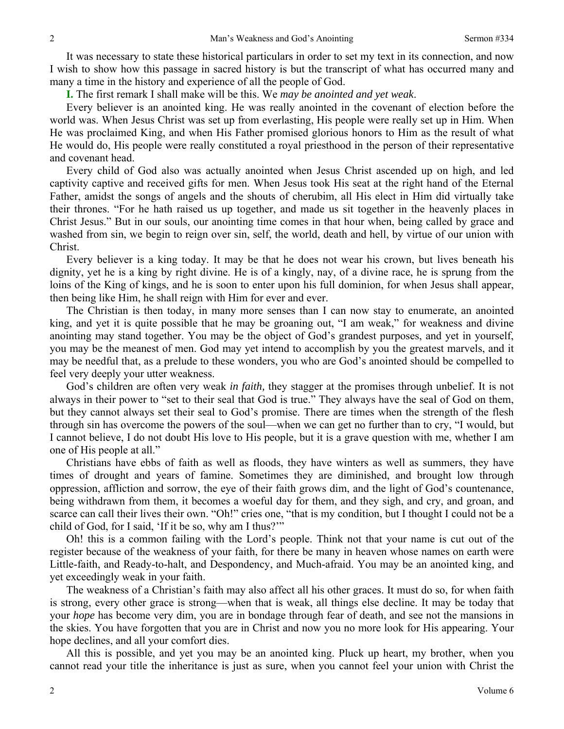It was necessary to state these historical particulars in order to set my text in its connection, and now I wish to show how this passage in sacred history is but the transcript of what has occurred many and many a time in the history and experience of all the people of God.

**I.** The first remark I shall make will be this. We *may be anointed and yet weak*.

Every believer is an anointed king. He was really anointed in the covenant of election before the world was. When Jesus Christ was set up from everlasting, His people were really set up in Him. When He was proclaimed King, and when His Father promised glorious honors to Him as the result of what He would do, His people were really constituted a royal priesthood in the person of their representative and covenant head.

Every child of God also was actually anointed when Jesus Christ ascended up on high, and led captivity captive and received gifts for men. When Jesus took His seat at the right hand of the Eternal Father, amidst the songs of angels and the shouts of cherubim, all His elect in Him did virtually take their thrones. "For he hath raised us up together, and made us sit together in the heavenly places in Christ Jesus." But in our souls, our anointing time comes in that hour when, being called by grace and washed from sin, we begin to reign over sin, self, the world, death and hell, by virtue of our union with Christ.

Every believer is a king today. It may be that he does not wear his crown, but lives beneath his dignity, yet he is a king by right divine. He is of a kingly, nay, of a divine race, he is sprung from the loins of the King of kings, and he is soon to enter upon his full dominion, for when Jesus shall appear, then being like Him, he shall reign with Him for ever and ever.

The Christian is then today, in many more senses than I can now stay to enumerate, an anointed king, and yet it is quite possible that he may be groaning out, "I am weak," for weakness and divine anointing may stand together. You may be the object of God's grandest purposes, and yet in yourself, you may be the meanest of men. God may yet intend to accomplish by you the greatest marvels, and it may be needful that, as a prelude to these wonders, you who are God's anointed should be compelled to feel very deeply your utter weakness.

God's children are often very weak *in faith,* they stagger at the promises through unbelief. It is not always in their power to "set to their seal that God is true." They always have the seal of God on them, but they cannot always set their seal to God's promise. There are times when the strength of the flesh through sin has overcome the powers of the soul—when we can get no further than to cry, "I would, but I cannot believe, I do not doubt His love to His people, but it is a grave question with me, whether I am one of His people at all."

Christians have ebbs of faith as well as floods, they have winters as well as summers, they have times of drought and years of famine. Sometimes they are diminished, and brought low through oppression, affliction and sorrow, the eye of their faith grows dim, and the light of God's countenance, being withdrawn from them, it becomes a woeful day for them, and they sigh, and cry, and groan, and scarce can call their lives their own. "Oh!" cries one, "that is my condition, but I thought I could not be a child of God, for I said, 'If it be so, why am I thus?'"

Oh! this is a common failing with the Lord's people. Think not that your name is cut out of the register because of the weakness of your faith, for there be many in heaven whose names on earth were Little-faith, and Ready-to-halt, and Despondency, and Much-afraid. You may be an anointed king, and yet exceedingly weak in your faith.

The weakness of a Christian's faith may also affect all his other graces. It must do so, for when faith is strong, every other grace is strong—when that is weak, all things else decline. It may be today that your *hope* has become very dim, you are in bondage through fear of death, and see not the mansions in the skies. You have forgotten that you are in Christ and now you no more look for His appearing. Your hope declines, and all your comfort dies.

All this is possible, and yet you may be an anointed king. Pluck up heart, my brother, when you cannot read your title the inheritance is just as sure, when you cannot feel your union with Christ the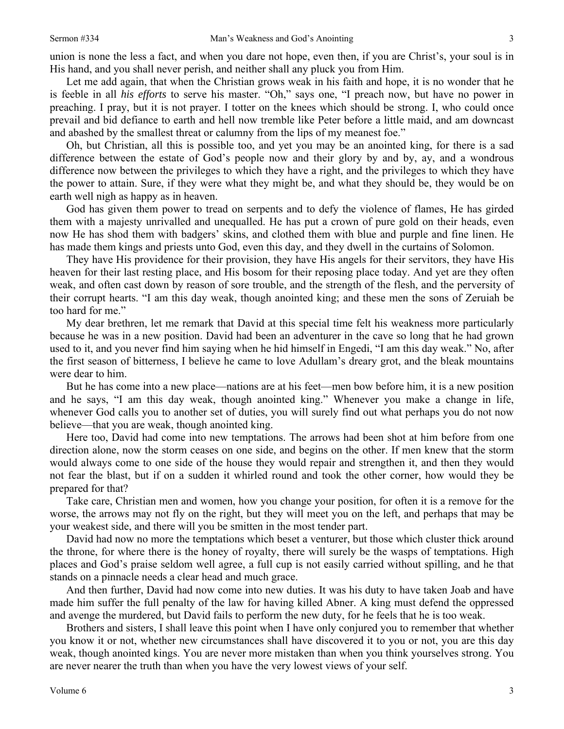union is none the less a fact, and when you dare not hope, even then, if you are Christ's, your soul is in His hand, and you shall never perish, and neither shall any pluck you from Him.

Let me add again, that when the Christian grows weak in his faith and hope, it is no wonder that he is feeble in all *his efforts* to serve his master. "Oh," says one, "I preach now, but have no power in preaching. I pray, but it is not prayer. I totter on the knees which should be strong. I, who could once prevail and bid defiance to earth and hell now tremble like Peter before a little maid, and am downcast and abashed by the smallest threat or calumny from the lips of my meanest foe."

Oh, but Christian, all this is possible too, and yet you may be an anointed king, for there is a sad difference between the estate of God's people now and their glory by and by, ay, and a wondrous difference now between the privileges to which they have a right, and the privileges to which they have the power to attain. Sure, if they were what they might be, and what they should be, they would be on earth well nigh as happy as in heaven.

God has given them power to tread on serpents and to defy the violence of flames, He has girded them with a majesty unrivalled and unequalled. He has put a crown of pure gold on their heads, even now He has shod them with badgers' skins, and clothed them with blue and purple and fine linen. He has made them kings and priests unto God, even this day, and they dwell in the curtains of Solomon.

They have His providence for their provision, they have His angels for their servitors, they have His heaven for their last resting place, and His bosom for their reposing place today. And yet are they often weak, and often cast down by reason of sore trouble, and the strength of the flesh, and the perversity of their corrupt hearts. "I am this day weak, though anointed king; and these men the sons of Zeruiah be too hard for me."

My dear brethren, let me remark that David at this special time felt his weakness more particularly because he was in a new position. David had been an adventurer in the cave so long that he had grown used to it, and you never find him saying when he hid himself in Engedi, "I am this day weak." No, after the first season of bitterness, I believe he came to love Adullam's dreary grot, and the bleak mountains were dear to him.

But he has come into a new place—nations are at his feet—men bow before him, it is a new position and he says, "I am this day weak, though anointed king." Whenever you make a change in life, whenever God calls you to another set of duties, you will surely find out what perhaps you do not now believe—that you are weak, though anointed king.

Here too, David had come into new temptations. The arrows had been shot at him before from one direction alone, now the storm ceases on one side, and begins on the other. If men knew that the storm would always come to one side of the house they would repair and strengthen it, and then they would not fear the blast, but if on a sudden it whirled round and took the other corner, how would they be prepared for that?

Take care, Christian men and women, how you change your position, for often it is a remove for the worse, the arrows may not fly on the right, but they will meet you on the left, and perhaps that may be your weakest side, and there will you be smitten in the most tender part.

David had now no more the temptations which beset a venturer, but those which cluster thick around the throne, for where there is the honey of royalty, there will surely be the wasps of temptations. High places and God's praise seldom well agree, a full cup is not easily carried without spilling, and he that stands on a pinnacle needs a clear head and much grace.

And then further, David had now come into new duties. It was his duty to have taken Joab and have made him suffer the full penalty of the law for having killed Abner. A king must defend the oppressed and avenge the murdered, but David fails to perform the new duty, for he feels that he is too weak.

Brothers and sisters, I shall leave this point when I have only conjured you to remember that whether you know it or not, whether new circumstances shall have discovered it to you or not, you are this day weak, though anointed kings. You are never more mistaken than when you think yourselves strong. You are never nearer the truth than when you have the very lowest views of your self.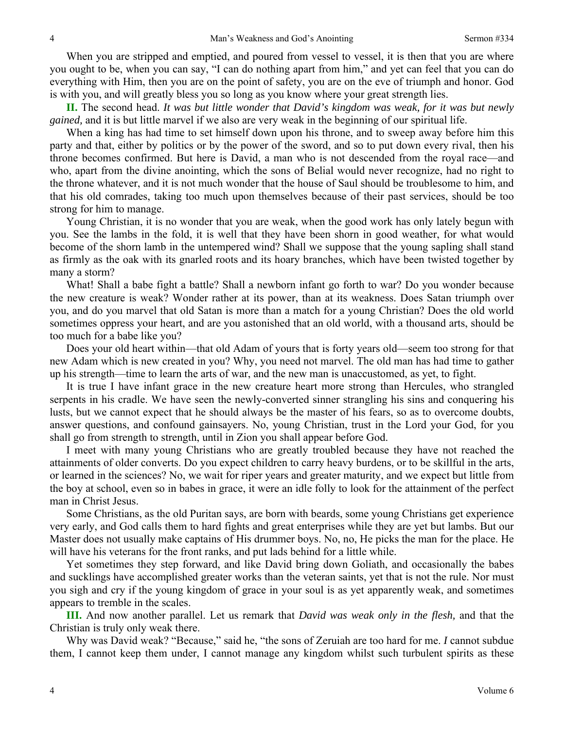When you are stripped and emptied, and poured from vessel to vessel, it is then that you are where you ought to be, when you can say, "I can do nothing apart from him," and yet can feel that you can do everything with Him, then you are on the point of safety, you are on the eve of triumph and honor. God is with you, and will greatly bless you so long as you know where your great strength lies.

**II.** The second head. *It was but little wonder that David's kingdom was weak, for it was but newly gained,* and it is but little marvel if we also are very weak in the beginning of our spiritual life.

When a king has had time to set himself down upon his throne, and to sweep away before him this party and that, either by politics or by the power of the sword, and so to put down every rival, then his throne becomes confirmed. But here is David, a man who is not descended from the royal race—and who, apart from the divine anointing, which the sons of Belial would never recognize, had no right to the throne whatever, and it is not much wonder that the house of Saul should be troublesome to him, and that his old comrades, taking too much upon themselves because of their past services, should be too strong for him to manage.

Young Christian, it is no wonder that you are weak, when the good work has only lately begun with you. See the lambs in the fold, it is well that they have been shorn in good weather, for what would become of the shorn lamb in the untempered wind? Shall we suppose that the young sapling shall stand as firmly as the oak with its gnarled roots and its hoary branches, which have been twisted together by many a storm?

What! Shall a babe fight a battle? Shall a newborn infant go forth to war? Do you wonder because the new creature is weak? Wonder rather at its power, than at its weakness. Does Satan triumph over you, and do you marvel that old Satan is more than a match for a young Christian? Does the old world sometimes oppress your heart, and are you astonished that an old world, with a thousand arts, should be too much for a babe like you?

Does your old heart within—that old Adam of yours that is forty years old—seem too strong for that new Adam which is new created in you? Why, you need not marvel. The old man has had time to gather up his strength—time to learn the arts of war, and the new man is unaccustomed, as yet, to fight.

It is true I have infant grace in the new creature heart more strong than Hercules, who strangled serpents in his cradle. We have seen the newly-converted sinner strangling his sins and conquering his lusts, but we cannot expect that he should always be the master of his fears, so as to overcome doubts, answer questions, and confound gainsayers. No, young Christian, trust in the Lord your God, for you shall go from strength to strength, until in Zion you shall appear before God.

I meet with many young Christians who are greatly troubled because they have not reached the attainments of older converts. Do you expect children to carry heavy burdens, or to be skillful in the arts, or learned in the sciences? No, we wait for riper years and greater maturity, and we expect but little from the boy at school, even so in babes in grace, it were an idle folly to look for the attainment of the perfect man in Christ Jesus.

Some Christians, as the old Puritan says, are born with beards, some young Christians get experience very early, and God calls them to hard fights and great enterprises while they are yet but lambs. But our Master does not usually make captains of His drummer boys. No, no, He picks the man for the place. He will have his veterans for the front ranks, and put lads behind for a little while.

Yet sometimes they step forward, and like David bring down Goliath, and occasionally the babes and sucklings have accomplished greater works than the veteran saints, yet that is not the rule. Nor must you sigh and cry if the young kingdom of grace in your soul is as yet apparently weak, and sometimes appears to tremble in the scales.

**III.** And now another parallel. Let us remark that *David was weak only in the flesh,* and that the Christian is truly only weak there.

Why was David weak? "Because," said he, "the sons of Zeruiah are too hard for me. *I* cannot subdue them, I cannot keep them under, I cannot manage any kingdom whilst such turbulent spirits as these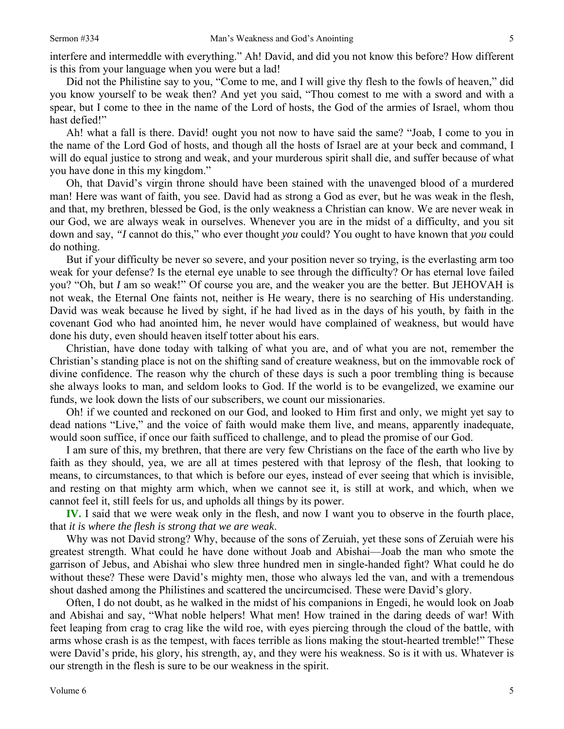interfere and intermeddle with everything." Ah! David, and did you not know this before? How different is this from your language when you were but a lad!

Did not the Philistine say to you, "Come to me, and I will give thy flesh to the fowls of heaven," did you know yourself to be weak then? And yet you said, "Thou comest to me with a sword and with a spear, but I come to thee in the name of the Lord of hosts, the God of the armies of Israel, whom thou hast defied!"

Ah! what a fall is there. David! ought you not now to have said the same? "Joab, I come to you in the name of the Lord God of hosts, and though all the hosts of Israel are at your beck and command, I will do equal justice to strong and weak, and your murderous spirit shall die, and suffer because of what you have done in this my kingdom."

Oh, that David's virgin throne should have been stained with the unavenged blood of a murdered man! Here was want of faith, you see. David had as strong a God as ever, but he was weak in the flesh, and that, my brethren, blessed be God, is the only weakness a Christian can know. We are never weak in our God, we are always weak in ourselves. Whenever you are in the midst of a difficulty, and you sit down and say, *"I* cannot do this," who ever thought *you* could? You ought to have known that *you* could do nothing.

But if your difficulty be never so severe, and your position never so trying, is the everlasting arm too weak for your defense? Is the eternal eye unable to see through the difficulty? Or has eternal love failed you? "Oh, but *I* am so weak!" Of course you are, and the weaker you are the better. But JEHOVAH is not weak, the Eternal One faints not, neither is He weary, there is no searching of His understanding. David was weak because he lived by sight, if he had lived as in the days of his youth, by faith in the covenant God who had anointed him, he never would have complained of weakness, but would have done his duty, even should heaven itself totter about his ears.

Christian, have done today with talking of what you are, and of what you are not, remember the Christian's standing place is not on the shifting sand of creature weakness, but on the immovable rock of divine confidence. The reason why the church of these days is such a poor trembling thing is because she always looks to man, and seldom looks to God. If the world is to be evangelized, we examine our funds, we look down the lists of our subscribers, we count our missionaries.

Oh! if we counted and reckoned on our God, and looked to Him first and only, we might yet say to dead nations "Live," and the voice of faith would make them live, and means, apparently inadequate, would soon suffice, if once our faith sufficed to challenge, and to plead the promise of our God.

I am sure of this, my brethren, that there are very few Christians on the face of the earth who live by faith as they should, yea, we are all at times pestered with that leprosy of the flesh, that looking to means, to circumstances, to that which is before our eyes, instead of ever seeing that which is invisible, and resting on that mighty arm which, when we cannot see it, is still at work, and which, when we cannot feel it, still feels for us, and upholds all things by its power.

**IV.** I said that we were weak only in the flesh, and now I want you to observe in the fourth place, that *it is where the flesh is strong that we are weak*.

Why was not David strong? Why, because of the sons of Zeruiah, yet these sons of Zeruiah were his greatest strength. What could he have done without Joab and Abishai—Joab the man who smote the garrison of Jebus, and Abishai who slew three hundred men in single-handed fight? What could he do without these? These were David's mighty men, those who always led the van, and with a tremendous shout dashed among the Philistines and scattered the uncircumcised. These were David's glory.

Often, I do not doubt, as he walked in the midst of his companions in Engedi, he would look on Joab and Abishai and say, "What noble helpers! What men! How trained in the daring deeds of war! With feet leaping from crag to crag like the wild roe, with eyes piercing through the cloud of the battle, with arms whose crash is as the tempest, with faces terrible as lions making the stout-hearted tremble!" These were David's pride, his glory, his strength, ay, and they were his weakness. So is it with us. Whatever is our strength in the flesh is sure to be our weakness in the spirit.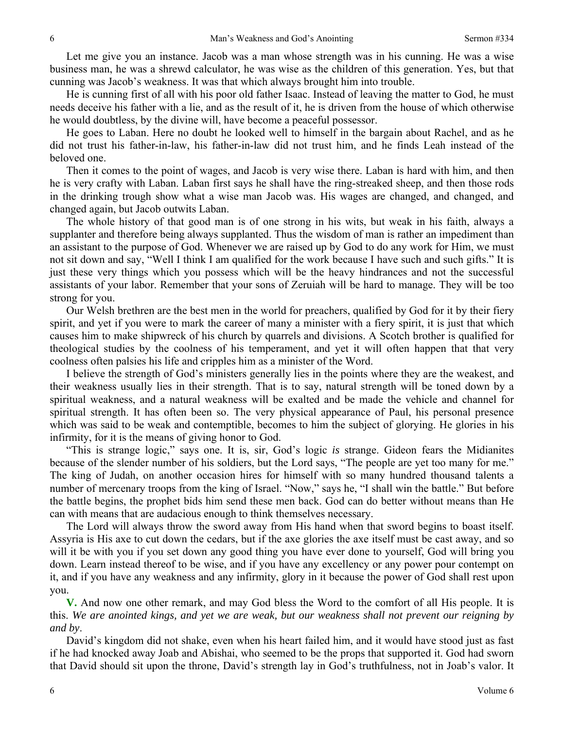Let me give you an instance. Jacob was a man whose strength was in his cunning. He was a wise business man, he was a shrewd calculator, he was wise as the children of this generation. Yes, but that cunning was Jacob's weakness. It was that which always brought him into trouble.

He is cunning first of all with his poor old father Isaac. Instead of leaving the matter to God, he must needs deceive his father with a lie, and as the result of it, he is driven from the house of which otherwise he would doubtless, by the divine will, have become a peaceful possessor.

He goes to Laban. Here no doubt he looked well to himself in the bargain about Rachel, and as he did not trust his father-in-law, his father-in-law did not trust him, and he finds Leah instead of the beloved one.

Then it comes to the point of wages, and Jacob is very wise there. Laban is hard with him, and then he is very crafty with Laban. Laban first says he shall have the ring-streaked sheep, and then those rods in the drinking trough show what a wise man Jacob was. His wages are changed, and changed, and changed again, but Jacob outwits Laban.

The whole history of that good man is of one strong in his wits, but weak in his faith, always a supplanter and therefore being always supplanted. Thus the wisdom of man is rather an impediment than an assistant to the purpose of God. Whenever we are raised up by God to do any work for Him, we must not sit down and say, "Well I think I am qualified for the work because I have such and such gifts." It is just these very things which you possess which will be the heavy hindrances and not the successful assistants of your labor. Remember that your sons of Zeruiah will be hard to manage. They will be too strong for you.

Our Welsh brethren are the best men in the world for preachers, qualified by God for it by their fiery spirit, and yet if you were to mark the career of many a minister with a fiery spirit, it is just that which causes him to make shipwreck of his church by quarrels and divisions. A Scotch brother is qualified for theological studies by the coolness of his temperament, and yet it will often happen that that very coolness often palsies his life and cripples him as a minister of the Word.

I believe the strength of God's ministers generally lies in the points where they are the weakest, and their weakness usually lies in their strength. That is to say, natural strength will be toned down by a spiritual weakness, and a natural weakness will be exalted and be made the vehicle and channel for spiritual strength. It has often been so. The very physical appearance of Paul, his personal presence which was said to be weak and contemptible, becomes to him the subject of glorying. He glories in his infirmity, for it is the means of giving honor to God.

"This is strange logic," says one. It is, sir, God's logic *is* strange. Gideon fears the Midianites because of the slender number of his soldiers, but the Lord says, "The people are yet too many for me." The king of Judah, on another occasion hires for himself with so many hundred thousand talents a number of mercenary troops from the king of Israel. "Now," says he, "I shall win the battle." But before the battle begins, the prophet bids him send these men back. God can do better without means than He can with means that are audacious enough to think themselves necessary.

The Lord will always throw the sword away from His hand when that sword begins to boast itself. Assyria is His axe to cut down the cedars, but if the axe glories the axe itself must be cast away, and so will it be with you if you set down any good thing you have ever done to yourself, God will bring you down. Learn instead thereof to be wise, and if you have any excellency or any power pour contempt on it, and if you have any weakness and any infirmity, glory in it because the power of God shall rest upon you.

**V.** And now one other remark, and may God bless the Word to the comfort of all His people. It is this. *We are anointed kings, and yet we are weak, but our weakness shall not prevent our reigning by and by*.

David's kingdom did not shake, even when his heart failed him, and it would have stood just as fast if he had knocked away Joab and Abishai, who seemed to be the props that supported it. God had sworn that David should sit upon the throne, David's strength lay in God's truthfulness, not in Joab's valor. It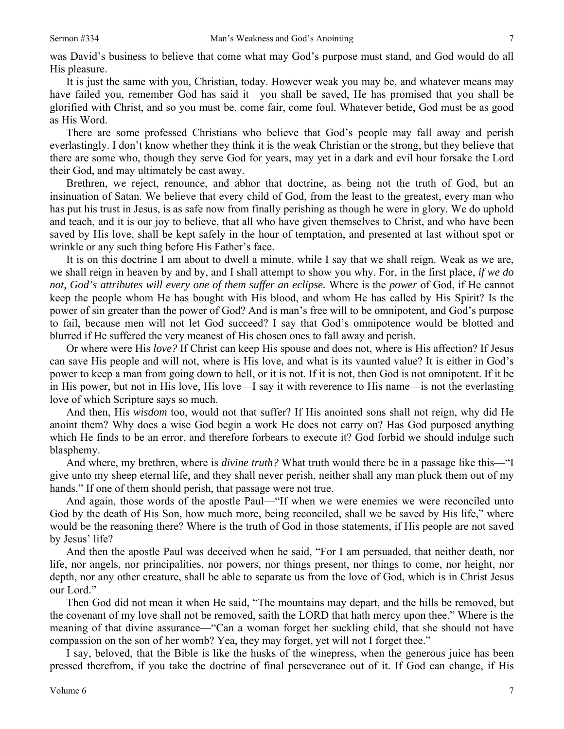was David's business to believe that come what may God's purpose must stand, and God would do all His pleasure.

It is just the same with you, Christian, today. However weak you may be, and whatever means may have failed you, remember God has said it—you shall be saved, He has promised that you shall be glorified with Christ, and so you must be, come fair, come foul. Whatever betide, God must be as good as His Word.

There are some professed Christians who believe that God's people may fall away and perish everlastingly. I don't know whether they think it is the weak Christian or the strong, but they believe that there are some who, though they serve God for years, may yet in a dark and evil hour forsake the Lord their God, and may ultimately be cast away.

Brethren, we reject, renounce, and abhor that doctrine, as being not the truth of God, but an insinuation of Satan. We believe that every child of God, from the least to the greatest, every man who has put his trust in Jesus, is as safe now from finally perishing as though he were in glory. We do uphold and teach, and it is our joy to believe, that all who have given themselves to Christ, and who have been saved by His love, shall be kept safely in the hour of temptation, and presented at last without spot or wrinkle or any such thing before His Father's face.

It is on this doctrine I am about to dwell a minute, while I say that we shall reign. Weak as we are, we shall reign in heaven by and by, and I shall attempt to show you why. For, in the first place, *if we do not, God's attributes will every one of them suffer an eclipse.* Where is the *power* of God, if He cannot keep the people whom He has bought with His blood, and whom He has called by His Spirit? Is the power of sin greater than the power of God? And is man's free will to be omnipotent, and God's purpose to fail, because men will not let God succeed? I say that God's omnipotence would be blotted and blurred if He suffered the very meanest of His chosen ones to fall away and perish.

Or where were His *love?* If Christ can keep His spouse and does not, where is His affection? If Jesus can save His people and will not, where is His love, and what is its vaunted value? It is either in God's power to keep a man from going down to hell, or it is not. If it is not, then God is not omnipotent. If it be in His power, but not in His love, His love—I say it with reverence to His name—is not the everlasting love of which Scripture says so much.

And then, His *wisdom* too, would not that suffer? If His anointed sons shall not reign, why did He anoint them? Why does a wise God begin a work He does not carry on? Has God purposed anything which He finds to be an error, and therefore forbears to execute it? God forbid we should indulge such blasphemy.

And where, my brethren, where is *divine truth?* What truth would there be in a passage like this—"I give unto my sheep eternal life, and they shall never perish, neither shall any man pluck them out of my hands." If one of them should perish, that passage were not true.

And again, those words of the apostle Paul—"If when we were enemies we were reconciled unto God by the death of His Son, how much more, being reconciled, shall we be saved by His life," where would be the reasoning there? Where is the truth of God in those statements, if His people are not saved by Jesus' life?

And then the apostle Paul was deceived when he said, "For I am persuaded, that neither death, nor life, nor angels, nor principalities, nor powers, nor things present, nor things to come, nor height, nor depth, nor any other creature, shall be able to separate us from the love of God, which is in Christ Jesus our Lord."

Then God did not mean it when He said, "The mountains may depart, and the hills be removed, but the covenant of my love shall not be removed, saith the LORD that hath mercy upon thee." Where is the meaning of that divine assurance—"Can a woman forget her suckling child, that she should not have compassion on the son of her womb? Yea, they may forget, yet will not I forget thee."

I say, beloved, that the Bible is like the husks of the winepress, when the generous juice has been pressed therefrom, if you take the doctrine of final perseverance out of it. If God can change, if His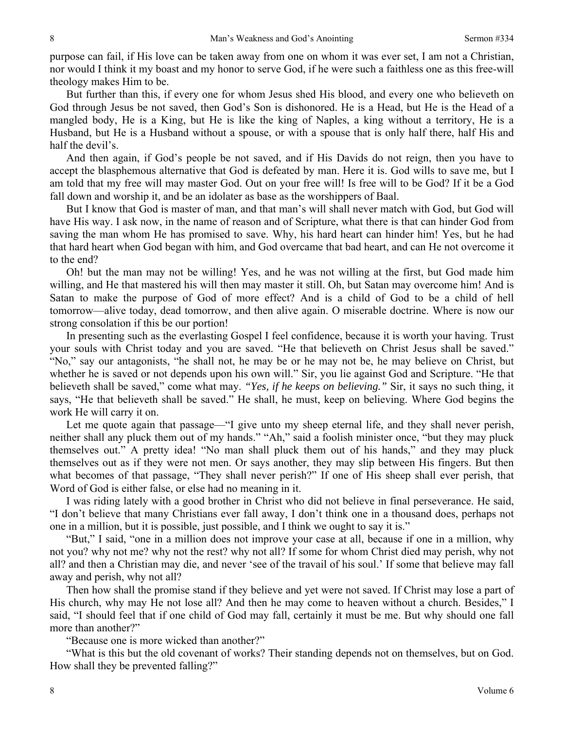purpose can fail, if His love can be taken away from one on whom it was ever set, I am not a Christian, nor would I think it my boast and my honor to serve God, if he were such a faithless one as this free-will theology makes Him to be.

But further than this, if every one for whom Jesus shed His blood, and every one who believeth on God through Jesus be not saved, then God's Son is dishonored. He is a Head, but He is the Head of a mangled body, He is a King, but He is like the king of Naples, a king without a territory, He is a Husband, but He is a Husband without a spouse, or with a spouse that is only half there, half His and half the devil's.

And then again, if God's people be not saved, and if His Davids do not reign, then you have to accept the blasphemous alternative that God is defeated by man. Here it is. God wills to save me, but I am told that my free will may master God. Out on your free will! Is free will to be God? If it be a God fall down and worship it, and be an idolater as base as the worshippers of Baal.

But I know that God is master of man, and that man's will shall never match with God, but God will have His way. I ask now, in the name of reason and of Scripture, what there is that can hinder God from saving the man whom He has promised to save. Why, his hard heart can hinder him! Yes, but he had that hard heart when God began with him, and God overcame that bad heart, and can He not overcome it to the end?

Oh! but the man may not be willing! Yes, and he was not willing at the first, but God made him willing, and He that mastered his will then may master it still. Oh, but Satan may overcome him! And is Satan to make the purpose of God of more effect? And is a child of God to be a child of hell tomorrow—alive today, dead tomorrow, and then alive again. O miserable doctrine. Where is now our strong consolation if this be our portion!

In presenting such as the everlasting Gospel I feel confidence, because it is worth your having. Trust your souls with Christ today and you are saved. "He that believeth on Christ Jesus shall be saved." "No," say our antagonists, "he shall not, he may be or he may not be, he may believe on Christ, but whether he is saved or not depends upon his own will." Sir, you lie against God and Scripture. "He that believeth shall be saved," come what may. *"Yes, if he keeps on believing."* Sir, it says no such thing, it says, "He that believeth shall be saved." He shall, he must, keep on believing. Where God begins the work He will carry it on.

Let me quote again that passage—"I give unto my sheep eternal life, and they shall never perish, neither shall any pluck them out of my hands." "Ah," said a foolish minister once, "but they may pluck themselves out." A pretty idea! "No man shall pluck them out of his hands," and they may pluck themselves out as if they were not men. Or says another, they may slip between His fingers. But then what becomes of that passage, "They shall never perish?" If one of His sheep shall ever perish, that Word of God is either false, or else had no meaning in it.

I was riding lately with a good brother in Christ who did not believe in final perseverance. He said, "I don't believe that many Christians ever fall away, I don't think one in a thousand does, perhaps not one in a million, but it is possible, just possible, and I think we ought to say it is."

"But," I said, "one in a million does not improve your case at all, because if one in a million, why not you? why not me? why not the rest? why not all? If some for whom Christ died may perish, why not all? and then a Christian may die, and never 'see of the travail of his soul.' If some that believe may fall away and perish, why not all?

Then how shall the promise stand if they believe and yet were not saved. If Christ may lose a part of His church, why may He not lose all? And then he may come to heaven without a church. Besides," I said, "I should feel that if one child of God may fall, certainly it must be me. But why should one fall more than another?"

"Because one is more wicked than another?"

"What is this but the old covenant of works? Their standing depends not on themselves, but on God. How shall they be prevented falling?"